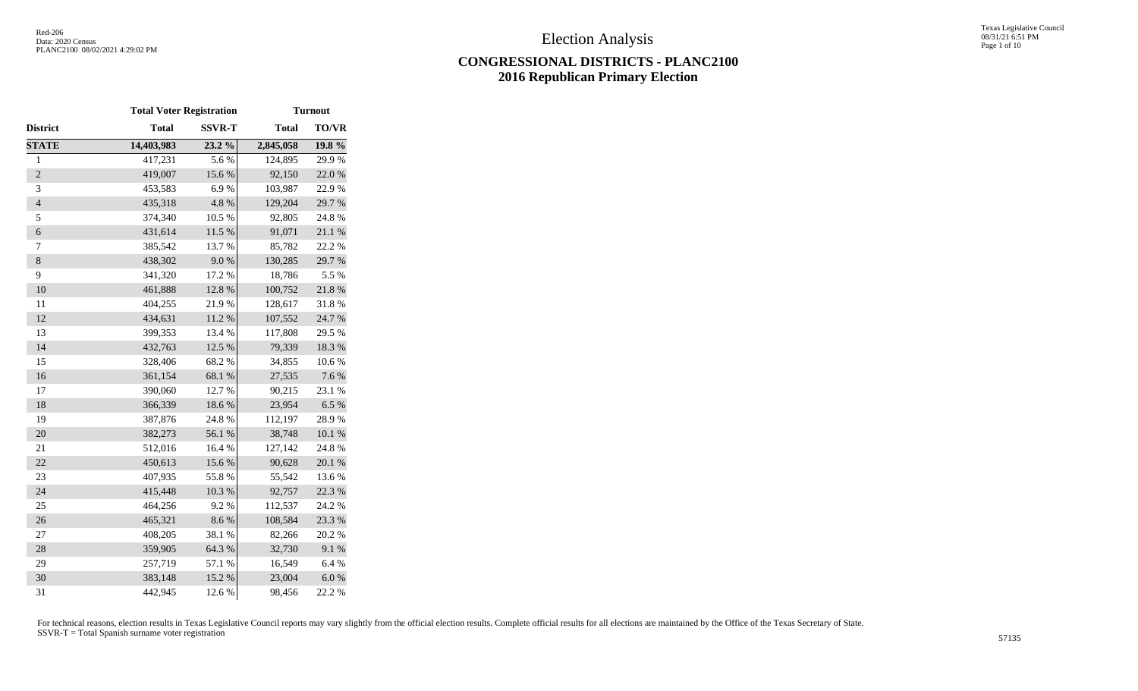# **CONGRESSIONAL DISTRICTS - PLANC2100 2016 Republican Primary Election**

|                | <b>Total Voter Registration</b> |               | <b>Turnout</b> |                  |  |  |  |
|----------------|---------------------------------|---------------|----------------|------------------|--|--|--|
| District       | <b>Total</b>                    | <b>SSVR-T</b> | <b>Total</b>   | <b>TO/VR</b>     |  |  |  |
| <b>STATE</b>   | 14,403,983                      | 23.2 %        | 2,845,058      | 19.8 %           |  |  |  |
| $\,1$          | 417,231                         | 5.6%          | 124,895        | 29.9%            |  |  |  |
| $\overline{2}$ | 419,007                         | 15.6%         | 92,150         | 22.0%            |  |  |  |
| 3              | 453,583                         | 6.9%          | 103,987        | 22.9%            |  |  |  |
| $\overline{4}$ | 435,318                         | 4.8 %         | 129,204        | 29.7%            |  |  |  |
| 5              | 374,340                         | 10.5 %        | 92,805         | 24.8%            |  |  |  |
| 6              | 431,614                         | $11.5~\%$     | 91,071         | $21.1\text{ }\%$ |  |  |  |
| 7              | 385,542                         | 13.7%         | 85,782         | 22.2 %           |  |  |  |
| $\,8\,$        | 438,302                         | 9.0%          | 130,285        | 29.7%            |  |  |  |
| 9              | 341,320                         | 17.2 %        | 18,786         | 5.5 %            |  |  |  |
| 10             | 461,888                         | 12.8 %        | 100,752        | 21.8 %           |  |  |  |
| 11             | 404,255                         | 21.9%         | 128,617        | 31.8%            |  |  |  |
| 12             | 434,631                         | $11.2\ \%$    | 107,552        | 24.7 %           |  |  |  |
| 13             | 399,353                         | 13.4 %        | 117,808        | 29.5 %           |  |  |  |
| 14             | 432,763                         | 12.5 %        | 79,339         | 18.3 %           |  |  |  |
| 15             | 328,406                         | 68.2%         | 34,855         | $10.6~\%$        |  |  |  |
| 16             | 361,154                         | 68.1 %        | 27,535         | 7.6 %            |  |  |  |
| 17             | 390,060                         | 12.7 %        | 90,215         | 23.1 %           |  |  |  |
| 18             | 366,339                         | 18.6 %        | 23,954         | 6.5%             |  |  |  |
| 19             | 387,876                         | 24.8 %        | 112,197        | 28.9%            |  |  |  |
| 20             | 382,273                         | 56.1 %        | 38,748         | $10.1~\%$        |  |  |  |
| 21             | 512,016                         | 16.4 %        | 127,142        | 24.8%            |  |  |  |
| 22             | 450,613                         | 15.6 %        | 90,628         | $20.1~\%$        |  |  |  |
| 23             | 407,935                         | 55.8%         | 55,542         | 13.6 %           |  |  |  |
| 24             | 415,448                         | 10.3 %        | 92,757         | 22.3 %           |  |  |  |
| 25             | 464,256                         | 9.2%          | 112,537        | 24.2 %           |  |  |  |
| 26             | 465,321                         | 8.6%          | 108,584        | 23.3 %           |  |  |  |
| 27             | 408,205                         | 38.1%         | 82,266         | 20.2 %           |  |  |  |
| 28             | 359,905                         | 64.3 %        | 32,730         | 9.1 %            |  |  |  |
| 29             | 257,719                         | 57.1 %        | 16,549         | 6.4%             |  |  |  |
| 30             | 383,148                         | 15.2 %        | 23,004         | $6.0\ \%$        |  |  |  |
| 31             | 442,945                         | 12.6 %        | 98,456         | 22.2 %           |  |  |  |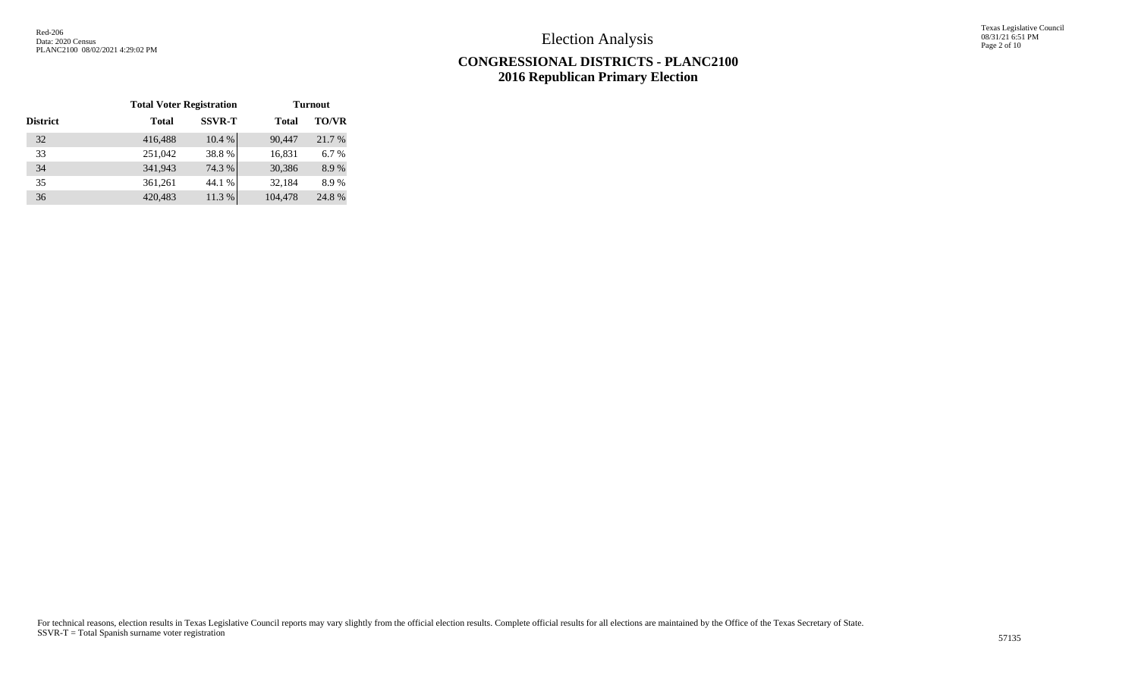Texas Legislative Council 08/31/21 6:51 PM Page 2 of 10

## **CONGRESSIONAL DISTRICTS - PLANC2100 2016 Republican Primary Election**

|                 | <b>Total Voter Registration</b> |               | <b>Turnout</b> |              |  |  |  |  |
|-----------------|---------------------------------|---------------|----------------|--------------|--|--|--|--|
| <b>District</b> | <b>Total</b>                    | <b>SSVR-T</b> | <b>Total</b>   | <b>TO/VR</b> |  |  |  |  |
| 32              | 416,488                         | 10.4 %        | 90,447         | 21.7 %       |  |  |  |  |
| 33              | 251,042                         | 38.8%         | 16,831         | 6.7%         |  |  |  |  |
| 34              | 341,943                         | 74.3 %        | 30,386         | 8.9%         |  |  |  |  |
| 35              | 361,261                         | 44.1 %        | 32,184         | 8.9%         |  |  |  |  |
| 36              | 420,483                         | 11.3 %        | 104,478        | 24.8%        |  |  |  |  |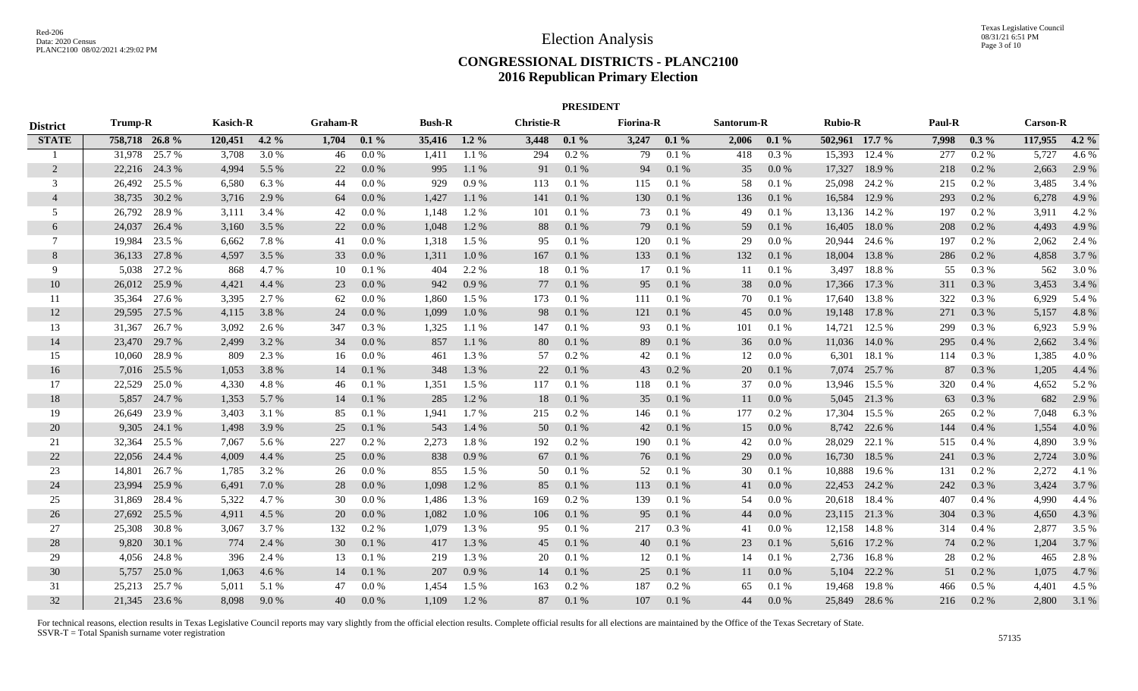### **CONGRESSIONAL DISTRICTS - PLANC2100 2016 Republican Primary Election**

| <b>PRESIDENT</b> |               |              |                 |         |          |         |               |         |                   |         |                  |         |            |           |                |               |        |          |                 |         |
|------------------|---------------|--------------|-----------------|---------|----------|---------|---------------|---------|-------------------|---------|------------------|---------|------------|-----------|----------------|---------------|--------|----------|-----------------|---------|
| <b>District</b>  | Trump-R       |              | <b>Kasich-R</b> |         | Graham-R |         | <b>Bush-R</b> |         | <b>Christie-R</b> |         | <b>Fiorina-R</b> |         | Santorum-R |           | <b>Rubio-R</b> |               | Paul-R |          | <b>Carson-R</b> |         |
| <b>STATE</b>     | 758,718 26.8% |              | 120,451         | $4.2\%$ | 1,704    | $0.1\%$ | 35,416 1.2 %  |         | 3,448             | $0.1\%$ | 3,247            | $0.1\%$ | 2,006      | $0.1\%$   | 502,961 17.7 % |               | 7,998  | $0.3\%$  | 117,955         | $4.2\%$ |
| -1               | 31,978        | 25.7 %       | 3,708           | 3.0 %   | 46       | 0.0 %   | 1,411         | 1.1 %   | 294               | $0.2\%$ | 79               | 0.1%    | 418        | 0.3%      | 15,393         | 12.4 %        | 277    | $0.2\%$  | 5,727           | 4.6 %   |
| 2                | 22,216 24.3 % |              | 4,994           | 5.5 %   | 22       | 0.0 %   | 995           | 1.1 %   | 91                | 0.1%    | 94               | 0.1 %   | 35         | $0.0\,\%$ | 17,327         | 18.9%         | 218    | 0.2 %    | 2,663           | 2.9 %   |
| 3                | 26,492 25.5 % |              | 6,580           | 6.3%    | 44       | 0.0 %   | 929           | 0.9%    | 113               | 0.1%    | 115              | 0.1 %   | 58         | 0.1 %     | 25,098         | 24.2 %        | 215    | $0.2 \%$ | 3,485           | 3.4 %   |
| $\overline{4}$   | 38,735 30.2 % |              | 3,716           | 2.9 %   | 64       | 0.0 %   | 1,427         | 1.1 %   | 141               | 0.1%    | 130              | 0.1 %   | 136        | 0.1%      | 16,584         | 12.9 %        | 293    | 0.2 %    | 6,278           | 4.9%    |
| -5               | 26,792        | 28.9%        | 3,111           | 3.4 %   | 42       | 0.0 %   | 1,148         | 1.2 %   | 101               | 0.1%    | 73               | 0.1%    | 49         | 0.1%      | 13,136         | 14.2 %        | 197    | 0.2 %    | 3,911           | 4.2 %   |
| 6                | 24,037        | 26.4 %       | 3,160           | 3.5 %   | 22       | 0.0 %   | 1,048         | 1.2%    | 88                | 0.1%    | 79               | 0.1 %   | 59         | 0.1%      | 16,405         | 18.0%         | 208    | 0.2 %    | 4,493           | 4.9 %   |
| 7                | 19,984        | 23.5 %       | 6,662           | 7.8%    | 41       | 0.0 %   | 1,318         | 1.5 %   | 95                | 0.1%    | 120              | 0.1%    | 29         | 0.0 %     | 20,944         | 24.6 %        | 197    | 0.2 %    | 2,062           | 2.4 %   |
| 8                | 36,133 27.8 % |              | 4,597           | 3.5 %   | 33       | 0.0 %   | 1,311         | 1.0%    | 167               | 0.1%    | 133              | 0.1%    | 132        | 0.1%      | 18,004         | 13.8%         | 286    | 0.2%     | 4,858           | 3.7 %   |
| 9                | 5,038         | 27.2 %       | 868             | 4.7 %   | 10       | 0.1%    | 404           | 2.2 %   | 18                | 0.1%    | 17               | 0.1 %   | 11         | 0.1 %     | 3,497          | 18.8%         | 55     | 0.3%     | 562             | 3.0%    |
| 10               | 26,012 25.9 % |              | 4,421           | 4.4 %   | 23       | 0.0 %   | 942           | 0.9%    | 77                | 0.1%    | 95               | 0.1 %   | 38         | 0.0 %     | 17,366         | 17.3 %        | 311    | 0.3 %    | 3,453           | 3.4 %   |
| 11               | 35,364 27.6 % |              | 3,395           | 2.7 %   | 62       | 0.0 %   | 1,860         | 1.5 %   | 173               | 0.1%    | 111              | 0.1 %   | 70         | 0.1%      |                | 17,640 13.8 % | 322    | 0.3%     | 6,929           | 5.4 %   |
| 12               | 29,595 27.5 % |              | 4,115           | 3.8%    | 24       | 0.0 %   | 1,099         | $1.0\%$ | 98                | 0.1%    | 121              | 0.1 %   | 45         | 0.0 %     |                | 19,148 17.8 % | 271    | 0.3 %    | 5,157           | 4.8%    |
| 13               | 31,367        | 26.7 %       | 3,092           | 2.6 %   | 347      | $0.3\%$ | 1,325         | 1.1 %   | 147               | 0.1%    | 93               | 0.1%    | 101        | 0.1%      | 14,721         | 12.5 %        | 299    | $0.3\%$  | 6,923           | 5.9%    |
| 14               | 23,470        | 29.7 %       | 2,499           | 3.2 %   | 34       | 0.0 %   | 857           | 1.1%    | 80                | 0.1%    | 89               | 0.1%    | 36         | 0.0 %     | 11,036         | 14.0 %        | 295    | $0.4\%$  | 2,662           | 3.4 %   |
| 15               | 10,060        | 28.9%        | 809             | 2.3 %   | 16       | 0.0 %   | 461           | 1.3%    | 57                | 0.2 %   | 42               | 0.1%    | 12         | 0.0 %     | 6,301          | 18.1%         | 114    | 0.3%     | 1,385           | 4.0%    |
| 16               | 7,016         | 25.5 %       | 1,053           | 3.8 %   | 14       | 0.1%    | 348           | 1.3 %   | 22                | 0.1%    | 43               | 0.2 %   | 20         | 0.1%      | 7,074          | 25.7 %        | 87     | 0.3 %    | 1,205           | 4.4 %   |
| 17               | 22,529        | 25.0 %       | 4,330           | 4.8%    | 46       | 0.1%    | 1,351         | 1.5 %   | 117               | 0.1%    | 118              | 0.1%    | 37         | 0.0 %     | 13,946         | 15.5 %        | 320    | 0.4%     | 4,652           | 5.2 %   |
| 18               |               | 5,857 24.7 % | 1,353           | 5.7 %   | 14       | 0.1%    | 285           | 1.2 %   | 18                | 0.1%    | 35               | 0.1 %   | 11         | 0.0 %     |                | 5,045 21.3 %  | 63     | 0.3 %    | 682             | 2.9 %   |
| 19               | 26,649        | 23.9 %       | 3,403           | 3.1 %   | 85       | 0.1%    | 1,941         | 1.7%    | 215               | 0.2 %   | 146              | 0.1 %   | 177        | 0.2 %     | 17,304         | 15.5 %        | 265    | 0.2 %    | 7,048           | 6.3%    |
| 20               |               | 9,305 24.1 % | 1,498           | 3.9 %   | 25       | 0.1%    | 543           | 1.4 %   | 50                | 0.1%    | 42               | 0.1 %   | 15         | 0.0 %     |                | 8,742 22.6 %  | 144    | 0.4%     | 1,554           | 4.0%    |
| 21               | 32,364        | 25.5 %       | 7,067           | 5.6 %   | 227      | 0.2%    | 2,273         | 1.8%    | 192               | 0.2 %   | 190              | 0.1 %   | 42         | 0.0 %     | 28,029         | 22.1 %        | 515    | 0.4%     | 4,890           | 3.9%    |
| 22               | 22,056        | 24.4 %       | 4,009           | 4.4 %   | 25       | 0.0 %   | 838           | 0.9%    | 67                | 0.1%    | 76               | 0.1 %   | 29         | 0.0 %     | 16,730         | 18.5 %        | 241    | 0.3 %    | 2,724           | 3.0 %   |
| 23               | 14,801        | 26.7 %       | 1,785           | 3.2 %   | 26       | 0.0 %   | 855           | 1.5 %   | 50                | 0.1%    | 52               | 0.1%    | 30         | 0.1%      | 10,888         | 19.6 %        | 131    | 0.2 %    | 2,272           | 4.1 %   |
| 24               | 23,994        | 25.9%        | 6,491           | 7.0 %   | 28       | 0.0 %   | 1,098         | 1.2%    | 85                | 0.1%    | 113              | 0.1 %   | 41         | 0.0 %     | 22,453         | 24.2 %        | 242    | $0.3\%$  | 3,424           | 3.7 %   |
| 25               | 31,869        | 28.4 %       | 5,322           | 4.7 %   | 30       | 0.0 %   | 1,486         | 1.3%    | 169               | $0.2\%$ | 139              | 0.1%    | 54         | 0.0 %     | 20,618         | 18.4 %        | 407    | $0.4\%$  | 4,990           | 4.4 %   |
| 26               | 27,692 25.5 % |              | 4,911           | 4.5 %   | 20       | 0.0 %   | 1,082         | 1.0%    | 106               | 0.1%    | 95               | 0.1%    | 44         | 0.0 %     |                | 23,115 21.3 % | 304    | 0.3%     | 4,650           | 4.3 %   |
| 27               | 25,308 30.8%  |              | 3,067           | 3.7%    | 132      | $0.2\%$ | 1,079         | 1.3 %   | 95                | 0.1%    | 217              | 0.3%    | 41         | 0.0 %     | 12,158         | 14.8 %        | 314    | 0.4%     | 2,877           | 3.5 %   |
| 28               |               | 9,820 30.1 % | 774             | 2.4 %   | 30       | 0.1%    | 417           | 1.3 %   | 45                | 0.1%    | 40               | 0.1 %   | 23         | 0.1%      |                | 5,616 17.2 %  | 74     | 0.2 %    | 1,204           | 3.7 %   |
| 29               |               | 4,056 24.8 % | 396             | 2.4 %   | 13       | 0.1%    | 219           | 1.3 %   | 20                | 0.1%    | 12               | 0.1%    | 14         | 0.1%      | 2,736          | 16.8 %        | 28     | 0.2 %    | 465             | 2.8%    |
| 30               | 5,757         | 25.0 %       | 1,063           | 4.6 %   | 14       | 0.1%    | 207           | 0.9%    | 14                | 0.1%    | 25               | 0.1 %   | 11         | 0.0 %     | 5,104          | 22.2 %        | 51     | 0.2 %    | 1,075           | 4.7%    |
| 31               | 25,213        | 25.7 %       | 5,011           | 5.1 %   | 47       | 0.0 %   | 1,454         | 1.5 %   | 163               | $0.2\%$ | 187              | 0.2 %   | 65         | 0.1%      | 19,468         | 19.8%         | 466    | 0.5%     | 4,401           | 4.5 %   |
| 32               | 21,345 23.6 % |              | 8,098           | 9.0%    | 40       | 0.0 %   | 1,109         | 1.2%    | 87                | 0.1%    | 107              | 0.1%    | 44         | 0.0 %     | 25,849         | 28.6 %        | 216    | 0.2%     | 2,800           | 3.1 %   |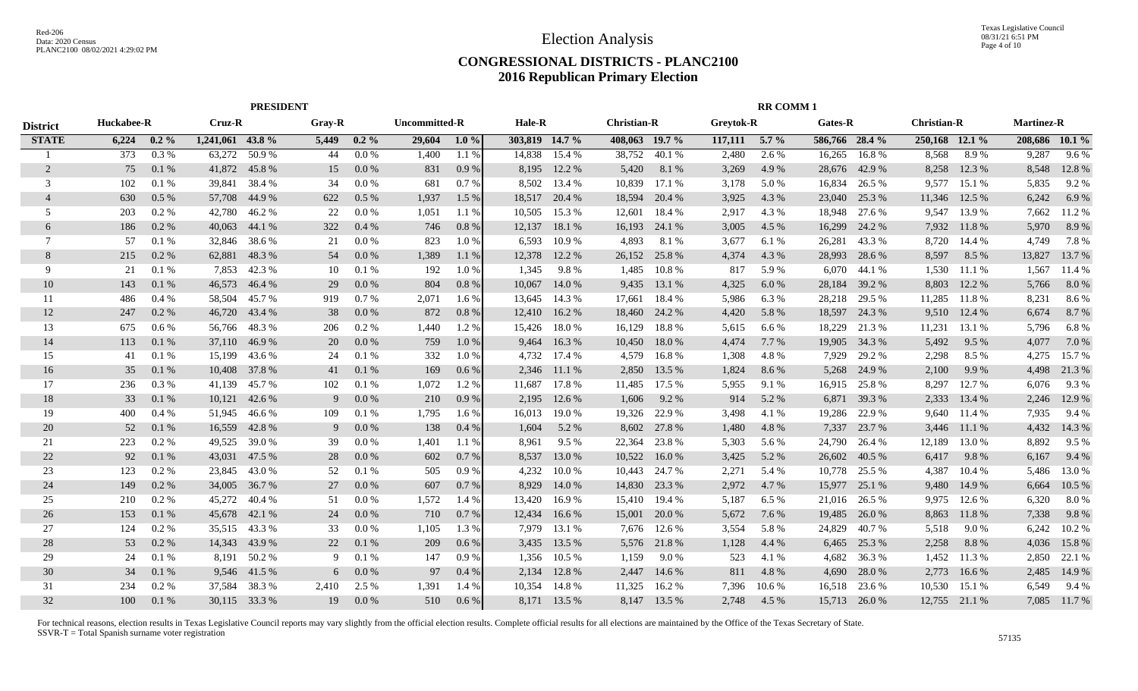#### **CONGRESSIONAL DISTRICTS - PLANC2100 2016 Republican Primary Election**

|                 | <b>PRESIDENT</b> |         |                  |               |        | <b>RR COMM1</b> |               |         |                |              |                    |              |           |         |                |        |                    |        |                   |                |
|-----------------|------------------|---------|------------------|---------------|--------|-----------------|---------------|---------|----------------|--------------|--------------------|--------------|-----------|---------|----------------|--------|--------------------|--------|-------------------|----------------|
| <b>District</b> | Huckabee-R       |         | Cruz-R           |               | Gray-R |                 | Uncommitted-R |         | <b>Hale-R</b>  |              | <b>Christian-R</b> |              | Greytok-R |         | Gates-R        |        | <b>Christian-R</b> |        | <b>Martinez-R</b> |                |
| <b>STATE</b>    | 6,224            | $0.2\%$ | 1,241,061 43.8 % |               | 5,449  | $0.2\%$         | 29,604        | $1.0\%$ | 303,819 14.7 % |              | 408,063 19.7 %     |              | 117,111   | $5.7\%$ | 586,766 28.4 % |        | 250,168 12.1 %     |        |                   | 208,686 10.1 % |
|                 | 373              | 0.3%    | 63,272           | 50.9%         | 44     | 0.0 %           | 1,400         | 1.1 %   | 14,838         | 15.4 %       | 38,752             | 40.1 %       | 2,480     | 2.6 %   | 16,265         | 16.8%  | 8,568              | 8.9%   | 9,287             | $9.6\%$        |
| $\overline{2}$  | 75               | 0.1%    | 41,872           | 45.8%         | 15     | $0.0\%$         | 831           | $0.9\%$ | 8,195          | 12.2 %       | 5,420              | 8.1%         | 3,269     | 4.9 %   | 28,676         | 42.9 % | 8,258              | 12.3 % | 8,548             | 12.8 %         |
| 3               | 102              | 0.1%    | 39,841           | 38.4 %        | 34     | 0.0 %           | 681           | 0.7%    | 8,502          | 13.4 %       | 10,839             | 17.1 %       | 3,178     | 5.0 %   | 16,834         | 26.5 % | 9,577              | 15.1 % | 5,835             | 9.2 %          |
| $\overline{4}$  | 630              | 0.5 %   | 57,708           | 44.9 %        | 622    | 0.5%            | 1,937         | 1.5 %   | 18,517         | 20.4 %       | 18,594             | 20.4 %       | 3,925     | 4.3 %   | 23,040         | 25.3 % | 11,346             | 12.5 % | 6,242             | 6.9 $%$        |
| 5               | 203              | 0.2 %   | 42,780           | 46.2%         | 22     | 0.0 %           | 1,051         | 1.1 %   | 10,505         | 15.3 %       | 12,601             | 18.4 %       | 2,917     | 4.3 %   | 18,948         | 27.6 % | 9,547              | 13.9 % | 7,662             | 11.2 %         |
| 6               | 186              | $0.2\%$ | 40,063           | 44.1 %        | 322    | 0.4%            | 746           | 0.8%    | 12,137         | 18.1 %       | 16,193             | 24.1 %       | 3,005     | 4.5 %   | 16,299         | 24.2 % | 7,932              | 11.8%  | 5,970             | 8.9 %          |
| 7               | 57               | 0.1 %   | 32,846           | 38.6 %        | 21     | 0.0 %           | 823           | 1.0%    | 6,593          | 10.9 %       | 4,893              | 8.1 %        | 3,677     | 6.1 %   | 26,281         | 43.3 % | 8,720              | 14.4 % | 4,749             | 7.8%           |
| 8               | 215              | $0.2\%$ | 62,881           | 48.3%         | 54     | 0.0 %           | 1,389         | 1.1%    | 12,378         | 12.2 %       | 26,152             | 25.8%        | 4,374     | 4.3 %   | 28,993         | 28.6 % | 8,597              | 8.5 %  | 13,827            | 13.7 %         |
| -9              | 21               | 0.1%    | 7,853            | 42.3 %        | 10     | 0.1%            | 192           | 1.0%    | 1,345          | 9.8%         | 1,485              | 10.8%        | 817       | 5.9%    | 6,070          | 44.1 % | 1,530              | 11.1 % | 1,567             | 11.4 %         |
| 10              | 143              | 0.1%    | 46,573           | 46.4 %        | 29     | 0.0 %           | 804           | 0.8%    | 10,067         | 14.0 %       | 9,435              | 13.1 %       | 4,325     | 6.0%    | 28,184         | 39.2 % | 8,803              | 12.2 % | 5,766             | 8.0%           |
| 11              | 486              | $0.4\%$ | 58,504           | 45.7 %        | 919    | 0.7%            | 2,071         | 1.6 %   | 13.645         | 14.3 %       | 17,661             | 18.4 %       | 5,986     | 6.3%    | 28,218         | 29.5 % | 11,285             | 11.8%  | 8,231             | 8.6 %          |
| 12              | 247              | $0.2\%$ | 46,720           | 43.4 %        | 38     | 0.0 %           | 872           | 0.8 %   | 12,410         | 16.2 %       | 18,460             | 24.2 %       | 4,420     | 5.8 %   | 18,597         | 24.3 % | 9,510              | 12.4 % | 6,674             | 8.7 %          |
| 13              | 675              | $0.6\%$ |                  | 56,766 48.3 % | 206    | $0.2\%$         | 1,440         | 1.2%    | 15,426         | 18.0 %       | 16,129             | 18.8 %       | 5,615     | 6.6%    | 18,229         | 21.3 % | 11,231             | 13.1 % | 5,796             | 6.8%           |
| 14              | 113              | 0.1%    | 37,110           | 46.9%         | 20     | 0.0 %           | 759           | 1.0 %   | 9,464          | 16.3%        | 10,450             | 18.0%        | 4,474     | 7.7 %   | 19,905         | 34.3 % | 5,492              | 9.5 %  | 4,077             | 7.0 %          |
| 15              | 41               | 0.1%    | 15,199           | 43.6 %        | 24     | 0.1%            | 332           | 1.0%    | 4,732          | 17.4 %       | 4,579              | 16.8%        | 1,308     | 4.8%    | 7,929          | 29.2 % | 2,298              | 8.5 %  | 4,275             | 15.7 %         |
| 16              | 35               | 0.1%    | 10,408           | 37.8 %        | 41     | 0.1%            | 169           | 0.6%    | 2,346          | 11.1 %       | 2,850              | 13.5 %       | 1,824     | 8.6 %   | 5,268          | 24.9 % | 2,100              | 9.9%   | 4,498             | 21.3 %         |
| 17              | 236              | 0.3 %   | 41,139           | 45.7 %        | 102    | 0.1%            | 1,072         | 1.2%    | 11.687         | 17.8 %       | 11,485             | 17.5 %       | 5,955     | 9.1 %   | 16,915         | 25.8%  | 8,297              | 12.7 % | 6,076             | 9.3%           |
| 18              | 33               | 0.1%    | 10,121           | 42.6 %        | 9      | 0.0 %           | 210           | 0.9%    | 2,195          | 12.6 %       | 1,606              | 9.2 %        | 914       | 5.2 %   | 6,871          | 39.3 % | 2,333              | 13.4 % | 2,246             | 12.9 %         |
| 19              | 400              | 0.4%    | 51,945           | 46.6 %        | 109    | 0.1 %           | 1,795         | 1.6 %   | 16,013         | 19.0 %       | 19,326             | 22.9 %       | 3,498     | 4.1 %   | 19,286         | 22.9 % | 9,640              | 11.4 % | 7,935             | 9.4 %          |
| 20              | 52               | 0.1%    | 16,559           | 42.8%         | 9      | 0.0 %           | 138           | 0.4%    | 1,604          | 5.2 %        | 8,602              | 27.8 %       | 1,480     | 4.8%    | 7,337          | 23.7 % | 3,446              | 11.1 % | 4,432             | 14.3 %         |
| 21              | 223              | 0.2 %   | 49,525           | 39.0 %        | 39     | 0.0 %           | 1,401         | 1.1 %   | 8,961          | 9.5 %        | 22,364             | 23.8%        | 5,303     | 5.6 %   | 24,790         | 26.4 % | 12,189             | 13.0 % | 8,892             | 9.5 %          |
| 22              | 92               | 0.1%    | 43,031           | 47.5 %        | 28     | $0.0\%$         | 602           | 0.7%    | 8,537          | 13.0 %       | 10,522             | 16.0%        | 3,425     | 5.2 %   | 26,602         | 40.5 % | 6,417              | 9.8%   | 6,167             | 9.4 %          |
| 23              | 123              | 0.2 %   | 23,845           | 43.0 %        | 52     | 0.1%            | 505           | 0.9%    | 4,232          | 10.0%        | 10,443             | 24.7 %       | 2,271     | 5.4 %   | 10,778         | 25.5 % | 4,387              | 10.4 % | 5,486             | 13.0%          |
| 24              | 149              | $0.2\%$ | 34,005           | 36.7 %        | 27     | 0.0 %           | 607           | 0.7%    | 8,929          | 14.0 %       | 14,830             | 23.3 %       | 2,972     | 4.7 %   | 15,977         | 25.1 % | 9,480              | 14.9 % | 6,664             | 10.5 %         |
| 25              | 210              | $0.2\%$ | 45,272           | 40.4 %        | 51     | 0.0 %           | 1,572         | 1.4 %   | 13,420         | 16.9%        | 15,410             | 19.4 %       | 5,187     | 6.5%    | 21,016         | 26.5 % | 9.975              | 12.6 % | 6,320             | 8.0%           |
| 26              | 153              | 0.1%    | 45,678           | 42.1 %        | 24     | 0.0 %           | 710           | 0.7%    | 12,434         | 16.6 %       | 15,001             | 20.0 %       | 5,672     | 7.6 %   | 19,485         | 26.0 % | 8,863              | 11.8%  | 7,338             | 9.8%           |
| 27              | 124              | $0.2\%$ | 35,515           | 43.3 %        | 33     | 0.0 %           | 1,105         | 1.3 %   | 7,979          | 13.1 %       | 7,676              | 12.6 %       | 3,554     | 5.8 %   | 24,829         | 40.7%  | 5,518              | 9.0%   | 6,242             | 10.2 %         |
| 28              | 53               | $0.2\%$ | 14,343           | 43.9 %        | 22     | 0.1%            | 209           | $0.6\%$ | 3,435          | 13.5 %       | 5,576              | 21.8%        | 1,128     | 4.4 %   | 6,465          | 25.3 % | 2,258              | 8.8%   | 4,036             | 15.8 %         |
| 29              | 24               | 0.1%    | 8,191            | 50.2 %        | 9      | 0.1%            | 147           | 0.9%    | 1,356          | 10.5 %       | 1,159              | 9.0 %        | 523       | 4.1 %   | 4,682          | 36.3%  | 1,452              | 11.3 % | 2,850             | 22.1 %         |
| 30              | 34               | 0.1%    |                  | 9,546 41.5 %  | 6      | 0.0 %           | 97            | $0.4\%$ | 2,134          | 12.8 %       | 2,447              | 14.6 %       | 811       | 4.8%    | 4,690          | 28.0%  | 2,773              | 16.6 % | 2,485             | 14.9 %         |
| 31              | 234              | 0.2 %   | 37,584           | 38.3 %        | 2,410  | 2.5 %           | 1,391         | 1.4 %   | 10,354         | 14.8%        | 11,325             | 16.2%        | 7,396     | 10.6 %  | 16,518         | 23.6 % | 10,530             | 15.1 % | 6,549             | 9.4 %          |
| 32              | 100              | 0.1%    |                  | 30,115 33.3 % | 19     | $0.0\%$         | 510           | 0.6%    |                | 8,171 13.5 % |                    | 8,147 13.5 % | 2,748     | 4.5 %   | 15,713         | 26.0%  | 12,755             | 21.1 % |                   | 7,085 11.7 %   |
|                 |                  |         |                  |               |        |                 |               |         |                |              |                    |              |           |         |                |        |                    |        |                   |                |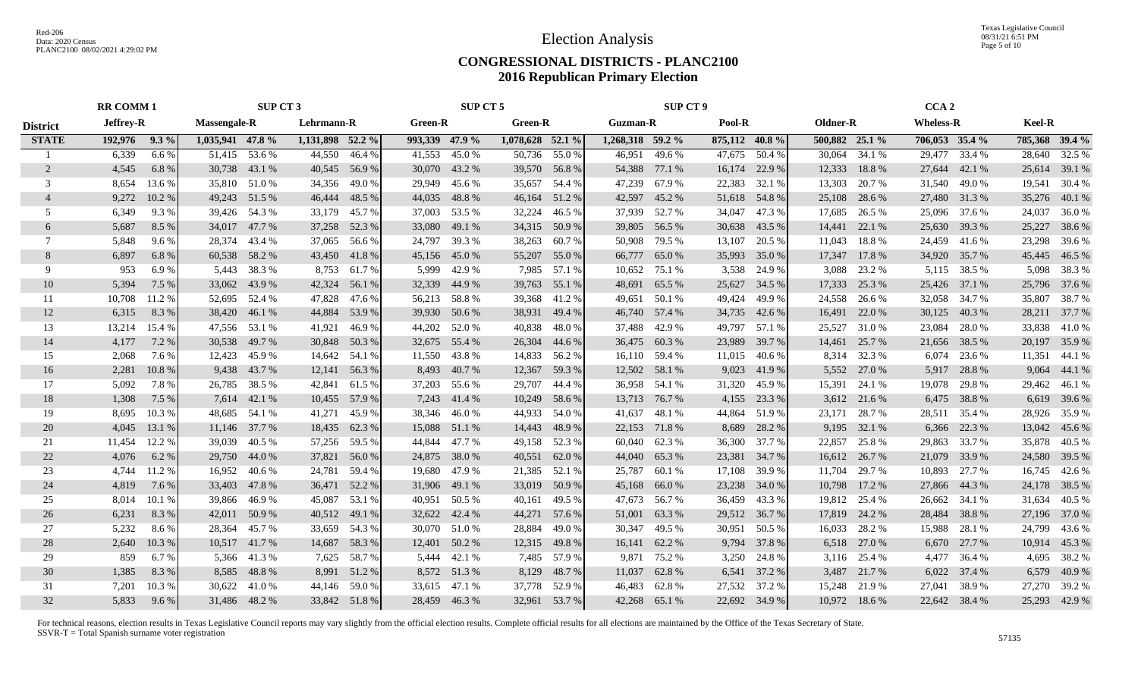Texas Legislative Council 08/31/21 6:51 PM Page 5 of 10

#### **CONGRESSIONAL DISTRICTS - PLANC2100 2016 Republican Primary Election**

|                 | <b>RR COMM 1</b><br>SUP CT 3 |        |                     | SUP CT 5      |                  |               | <b>SUP CT 9</b> |              |                  |               | CCA <sub>2</sub> |               |                |               |                |               |                  |              |                |               |
|-----------------|------------------------------|--------|---------------------|---------------|------------------|---------------|-----------------|--------------|------------------|---------------|------------------|---------------|----------------|---------------|----------------|---------------|------------------|--------------|----------------|---------------|
| <b>District</b> | <b>Jeffrey-R</b>             |        | <b>Massengale-R</b> |               | Lehrmann-R       |               | <b>Green-R</b>  |              | <b>Green-R</b>   |               | <b>Guzman-R</b>  |               | Pool-R         |               | Oldner-R       |               | <b>Wheless-R</b> |              | Keel-R         |               |
| <b>STATE</b>    | 192,976 9.3 %                |        | 1,035,941 47.8 %    |               | 1,131,898 52.2 % |               | 993,339 47.9 %  |              | 1,078,628 52.1 % |               | 1,268,318 59.2 % |               | 875,112 40.8 % |               | 500,882 25.1 % |               | $706,053$ 35.4 % |              | 785,368 39.4 % |               |
|                 | 6,339                        | 6.6%   |                     | 51,415 53.6 % |                  | 44,550 46.4 % | 41,553 45.0 %   |              |                  | 50,736 55.0 % |                  | 46,951 49.6 % |                | 47,675 50.4 % |                | 30,064 34.1 % | 29,477 33.4 %    |              |                | 28,640 32.5 % |
| 2               | 4,545                        | 6.8 %  |                     | 30,738 43.1 % |                  | 40,545 56.9 % | 30,070 43.2 %   |              |                  | 39,570 56.8 % | 54,388 77.1 %    |               |                | 16,174 22.9 % |                | 12,333 18.8 % | 27,644 42.1 %    |              |                | 25,614 39.1 % |
| 3               | 8,654                        | 13.6 % |                     | 35,810 51.0 % |                  | 34,356 49.0 % | 29,949          | 45.6 %       |                  | 35,657 54.4 % | 47,239           | 67.9 %        | 22,383         | 32.1 %        | 13,303         | 20.7 %        | 31,540 49.0 %    |              |                | 19,541 30.4 % |
|                 | 9,272                        | 10.2%  |                     | 49,243 51.5 % |                  | 46,444 48.5 % | 44,035          | 48.8%        |                  | 46,164 51.2 % | 42,597 45.2 %    |               | 51,618 54.8 %  |               | 25,108         | 28.6 %        | 27,480 31.3 %    |              |                | 35,276 40.1 % |
| 5               | 6,349                        | 9.3%   |                     | 39,426 54.3 % | 33,179           | 45.7 %        | 37,003          | 53.5 %       | 32,224           | 46.5 %        | 37,939           | 52.7 %        | 34,047         | 47.3 %        | 17,685         | 26.5 %        | 25,096 37.6 %    |              | 24,037         | 36.0%         |
| 6               | 5,687                        | 8.5 %  |                     | 34,017 47.7 % |                  | 37,258 52.3 % | 33,080          | 49.1 %       |                  | 34,315 50.9 % | 39,805 56.5 %    |               | 30,638         | 43.5 %        | 14,441         | 22.1 %        | 25,630 39.3 %    |              | 25,227         | 38.6%         |
| 7               | 5,848                        | 9.6 %  | 28,374              | 43.4 %        |                  | 37,065 56.6 % | 24,797 39.3 %   |              |                  | 38,263 60.7 % |                  | 50,908 79.5 % | 13,107         | 20.5 %        | 11,043         | 18.8 %        | 24,459 41.6 %    |              |                | 23,298 39.6 % |
| 8               | 6,897                        | 6.8%   |                     | 60,538 58.2 % |                  | 43,450 41.8 % | 45,156 45.0 %   |              |                  | 55,207 55.0 % | 66,777 65.0 %    |               | 35,993         | 35.0 %        | 17,347         | 17.8 %        | 34,920 35.7 %    |              |                | 45,445 46.5 % |
| 9               | 953                          | 6.9%   | 5,443               | 38.3 %        |                  | 8,753 61.7 %  | 5,999           | 42.9 %       |                  | 7,985 57.1 %  |                  | 10,652 75.1 % | 3,538          | 24.9 %        | 3,088          | 23.2 %        |                  | 5,115 38.5 % |                | 5,098 38.3 %  |
| 10              | 5,394                        | 7.5 %  | 33,062              | 43.9 %        |                  | 42,324 56.1 % | 32,339          | 44.9 %       |                  | 39,763 55.1 % | 48,691 65.5 %    |               |                | 25,627 34.5 % | 17,333         | 25.3 %        | 25,426 37.1 %    |              |                | 25,796 37.6 % |
| 11              | 10,708                       | 11.2 % |                     | 52,695 52.4 % | 47,828           | 47.6 %        | 56,213 58.8 %   |              |                  | 39,368 41.2 % | 49,651 50.1 %    |               | 49,424         | 49.9 %        | 24,558         | 26.6 %        | 32,058 34.7 %    |              |                | 35,807 38.7 % |
| 12              | 6,315                        | 8.3%   |                     | 38,420 46.1 % | 44,884           | 53.9%         | 39,930 50.6 %   |              |                  | 38,931 49.4 % | 46,740 57.4 %    |               | 34,735 42.6 %  |               | 16,491         | 22.0 %        | 30,125 40.3 %    |              |                | 28,211 37.7 % |
| 13              | 13,214                       | 15.4 % |                     | 47,556 53.1 % | 41,921           | 46.9%         | 44,202 52.0 %   |              |                  | 40,838 48.0 % | 37,488           | 42.9%         |                | 49,797 57.1 % |                | 25,527 31.0 % | 23,084           | 28.0%        |                | 33,838 41.0 % |
| 14              | 4,177                        | 7.2 %  |                     | 30,538 49.7 % |                  | 30,848 50.3 % | 32,675 55.4 %   |              |                  | 26,304 44.6 % | 36,475 60.3 %    |               | 23,989         | 39.7 %        |                | 14,461 25.7 % | 21,656 38.5 %    |              |                | 20,197 35.9 % |
| 15              | 2,068                        | 7.6 %  |                     | 12,423 45.9 % |                  | 14,642 54.1 % | 11,550 43.8 %   |              |                  | 14,833 56.2 % |                  | 16,110 59.4 % |                | 11,015 40.6 % |                | 8,314 32.3 %  | 6,074            | 23.6 %       |                | 11,351 44.1 % |
| 16              | 2,281                        | 10.8%  |                     | 9,438 43.7 %  |                  | 12,141 56.3 % | 8,493           | 40.7 %       |                  | 12,367 59.3 % |                  | 12,502 58.1 % | 9,023          | 41.9%         |                | 5,552 27.0 %  |                  | 5,917 28.8 % | 9,064          | 44.1 %        |
| 17              | 5,092                        | 7.8%   | 26,785              | 38.5 %        | 42,841           | 61.5%         | 37,203 55.6 %   |              |                  | 29,707 44.4 % | 36,958           | 54.1 %        | 31,320         | 45.9%         | 15,391         | 24.1 %        | 19,078           | 29.8 %       |                | 29,462 46.1 % |
| 18              | 1,308                        | 7.5 %  | 7,614               | 42.1 %        | 10,455           | 57.9 %        | 7,243           | 41.4 %       |                  | 10,249 58.6 % | 13,713           | 76.7 %        | 4,155          | 23.3 %        |                | 3,612 21.6 %  | 6,475            | 38.8%        |                | 6,619 39.6 %  |
| 19              | 8,695                        | 10.3%  | 48,685              | 54.1 %        | 41,271           | 45.9%         | 38,346          | 46.0%        | 44,933           | 54.0 %        | 41,637           | 48.1 %        | 44,864         | 51.9%         | 23,171         | 28.7 %        | 28,511           | 35.4 %       |                | 28,926 35.9 % |
| 20              | 4,045                        | 13.1 % | 11,146              | 37.7 %        | 18,435           | 62.3 %        | 15,088 51.1 %   |              |                  | 14,443 48.9 % | 22,153           | 71.8%         | 8,689          | 28.2 %        | 9,195          | 32.1 %        | 6,366            | 22.3 %       |                | 13,042 45.6 % |
| 21              | 11,454                       | 12.2 % | 39,039              | 40.5 %        |                  | 57,256 59.5 % | 44,844 47.7 %   |              |                  | 49,158 52.3 % | 60,040           | 62.3 %        | 36,300         | 37.7 %        | 22,857         | 25.8%         | 29,863 33.7 %    |              |                | 35,878 40.5 % |
| 22              | 4,076                        | 6.2 %  | 29,750              | 44.0 %        | 37,821           | 56.0%         | 24,875          | 38.0%        | 40,551           | 62.0%         | 44,040           | 65.3%         | 23,381         | 34.7 %        | 16,612         | 26.7 %        | 21,079           | 33.9 %       |                | 24,580 39.5 % |
| 23              | 4,744                        | 11.2 % | 16,952              | 40.6 %        | 24,781           | 59.4 %        | 19,680 47.9 %   |              |                  | 21,385 52.1 % | 25,787           | 60.1%         | 17,108         | 39.9 %        | 11,704         | 29.7 %        | 10,893           | 27.7 %       |                | 16,745 42.6 % |
| 24              | 4,819                        | 7.6 %  | 33,403              | 47.8%         | 36,471           | 52.2 %        | 31,906 49.1 %   |              |                  | 33,019 50.9 % | 45,168           | 66.0%         | 23,238         | 34.0 %        | 10,798         | 17.2 %        | 27,866 44.3 %    |              |                | 24,178 38.5 % |
| 25              | 8,014                        | 10.1 % | 39,866              | 46.9 %        | 45,087           | 53.1 %        | 40,951 50.5 %   |              | 40,161           | 49.5 %        | 47,673 56.7 %    |               | 36,459         | 43.3 %        |                | 19,812 25.4 % | 26,662 34.1 %    |              |                | 31,634 40.5 % |
| 26              | 6,231                        | 8.3%   | 42,011              | 50.9%         | 40,512           | 49.1 %        | 32,622 42.4 %   |              |                  | 44,271 57.6 % | 51,001           | 63.3 %        | 29,512 36.7 %  |               |                | 17,819 24.2 % | 28,484           | 38.8%        |                | 27,196 37.0 % |
| 27              | 5,232                        | 8.6%   | 28,364              | 45.7 %        | 33,659           | 54.3 %        | 30,070 51.0 %   |              | 28,884           | 49.0 %        | 30,347           | 49.5 %        | 30,951         | 50.5 %        | 16,033         | 28.2 %        | 15,988           | 28.1 %       | 24,799         | 43.6 %        |
| 28              | 2,640                        | 10.3%  |                     | 10,517 41.7 % |                  | 14,687 58.3 % | 12,401 50.2 %   |              |                  | 12,315 49.8 % |                  | 16,141 62.2 % | 9,794          | 37.8 %        |                | 6,518 27.0 %  | 6,670            | 27.7 %       | 10,914         | 45.3 %        |
| 29              | 859                          | 6.7 %  |                     | 5,366 41.3 %  |                  | 7,625 58.7 %  |                 | 5,444 42.1 % |                  | 7,485 57.9 %  |                  | 9,871 75.2 %  | 3,250          | 24.8%         |                | 3,116 25.4 %  | 4,477            | 36.4 %       |                | 4,695 38.2 %  |
| 30              | 1,385                        | 8.3 %  | 8,585               | 48.8%         |                  | 8,991 51.2 %  |                 | 8,572 51.3 % | 8,129            | 48.7 %        | 11,037           | 62.8%         |                | 6,541 37.2 %  |                | 3,487 21.7 %  |                  | 6,022 37.4 % |                | 6,579 40.9 %  |
| 31              | 7,201                        | 10.3%  | 30,622              | 41.0%         |                  | 44,146 59.0 % | 33,615 47.1 %   |              |                  | 37,778 52.9 % | 46,483           | 62.8%         |                | 27,532 37.2 % | 15,248         | 21.9 %        | 27,041           | 38.9%        |                | 27,270 39.2 % |
| 32              | 5,833                        | 9.6 %  |                     | 31,486 48.2 % |                  | 33,842 51.8 % | 28,459 46.3 %   |              |                  | 32,961 53.7 % | 42,268 65.1 %    |               |                | 22,692 34.9 % |                | 10,972 18.6 % | 22,642 38.4 %    |              |                | 25,293 42.9 % |
|                 |                              |        |                     |               |                  |               |                 |              |                  |               |                  |               |                |               |                |               |                  |              |                |               |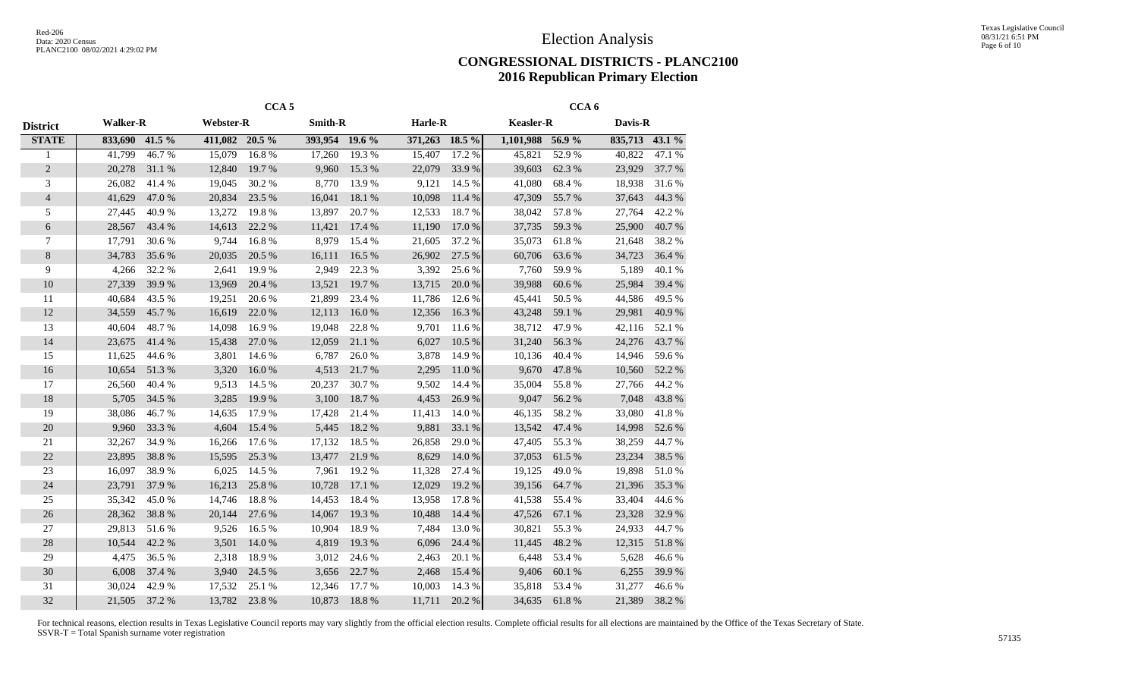#### **CONGRESSIONAL DISTRICTS - PLANC2100 2016 Republican Primary Election**

|                 | CCA <sub>5</sub> |        |                  |        |                |        |                | CCA <sub>6</sub> |                  |        |         |        |  |  |
|-----------------|------------------|--------|------------------|--------|----------------|--------|----------------|------------------|------------------|--------|---------|--------|--|--|
| <b>District</b> | <b>Walker-R</b>  |        | <b>Webster-R</b> |        | <b>Smith-R</b> |        | Harle-R        |                  | <b>Keasler-R</b> |        | Davis-R |        |  |  |
| <b>STATE</b>    | 833,690          | 41.5 % | 411,082 20.5 %   |        | 393,954 19.6 % |        | 371,263 18.5 % |                  | 1,101,988 56.9 % |        | 835,713 | 43.1%  |  |  |
|                 | 41,799           | 46.7%  | 15,079           | 16.8%  | 17,260         | 19.3%  | 15,407         | 17.2 %           | 45,821           | 52.9%  | 40,822  | 47.1 % |  |  |
| $\overline{c}$  | 20,278           | 31.1 % | 12,840           | 19.7 % | 9,960          | 15.3%  | 22,079         | 33.9%            | 39,603           | 62.3%  | 23,929  | 37.7 % |  |  |
| 3               | 26,082           | 41.4%  | 19,045           | 30.2 % | 8,770          | 13.9 % | 9,121          | 14.5 %           | 41,080           | 68.4%  | 18,938  | 31.6%  |  |  |
| $\overline{4}$  | 41,629           | 47.0%  | 20,834           | 23.5 % | 16,041         | 18.1 % | 10,098         | 11.4 %           | 47,309           | 55.7%  | 37,643  | 44.3%  |  |  |
| 5               | 27,445           | 40.9%  | 13,272           | 19.8%  | 13,897         | 20.7%  | 12,533         | 18.7%            | 38,042           | 57.8%  | 27,764  | 42.2%  |  |  |
| 6               | 28,567           | 43.4 % | 14,613           | 22.2 % | 11,421         | 17.4 % | 11,190         | 17.0%            | 37,735           | 59.3%  | 25,900  | 40.7%  |  |  |
| 7               | 17,791           | 30.6 % | 9,744            | 16.8%  | 8,979          | 15.4 % | 21,605         | 37.2 %           | 35,073           | 61.8%  | 21,648  | 38.2%  |  |  |
| 8               | 34,783           | 35.6 % | 20,035           | 20.5 % | 16,111         | 16.5 % | 26,902         | 27.5 %           | 60,706           | 63.6%  | 34,723  | 36.4 % |  |  |
| 9               | 4,266            | 32.2 % | 2,641            | 19.9%  | 2,949          | 22.3 % | 3,392          | 25.6 %           | 7,760            | 59.9%  | 5,189   | 40.1 % |  |  |
| 10              | 27,339           | 39.9%  | 13,969           | 20.4 % | 13,521         | 19.7%  | 13,715         | 20.0%            | 39,988           | 60.6%  | 25,984  | 39.4 % |  |  |
| 11              | 40,684           | 43.5 % | 19,251           | 20.6 % | 21,899         | 23.4 % | 11,786         | 12.6%            | 45,441           | 50.5 % | 44,586  | 49.5 % |  |  |
| 12              | 34,559           | 45.7%  | 16,619           | 22.0 % | 12,113         | 16.0%  | 12,356         | 16.3%            | 43,248           | 59.1 % | 29,981  | 40.9%  |  |  |
| 13              | 40,604           | 48.7%  | 14,098           | 16.9%  | 19,048         | 22.8%  | 9,701          | 11.6 %           | 38,712           | 47.9%  | 42,116  | 52.1 % |  |  |
| 14              | 23,675           | 41.4%  | 15,438           | 27.0%  | 12,059         | 21.1 % | 6,027          | 10.5 %           | 31,240           | 56.3%  | 24,276  | 43.7%  |  |  |
| 15              | 11,625           | 44.6%  | 3,801            | 14.6 % | 6,787          | 26.0%  | 3,878          | 14.9%            | 10,136           | 40.4 % | 14,946  | 59.6%  |  |  |
| 16              | 10,654           | 51.3%  | 3,320            | 16.0%  | 4,513          | 21.7 % | 2,295          | 11.0%            | 9,670            | 47.8%  | 10,560  | 52.2 % |  |  |
| 17              | 26,560           | 40.4 % | 9,513            | 14.5 % | 20,237         | 30.7%  | 9,502          | 14.4 %           | 35,004           | 55.8%  | 27,766  | 44.2%  |  |  |
| 18              | 5,705            | 34.5 % | 3,285            | 19.9%  | 3,100          | 18.7%  | 4,453          | 26.9%            | 9,047            | 56.2%  | 7,048   | 43.8%  |  |  |
| 19              | 38,086           | 46.7%  | 14,635           | 17.9%  | 17,428         | 21.4 % | 11,413         | 14.0%            | 46,135           | 58.2%  | 33,080  | 41.8%  |  |  |
| 20              | 9,960            | 33.3 % | 4,604            | 15.4 % | 5,445          | 18.2 % | 9,881          | 33.1 %           | 13,542           | 47.4 % | 14,998  | 52.6 % |  |  |
| 21              | 32,267           | 34.9 % | 16,266           | 17.6 % | 17,132         | 18.5 % | 26,858         | 29.0%            | 47,405           | 55.3 % | 38,259  | 44.7%  |  |  |
| 22              | 23,895           | 38.8%  | 15,595           | 25.3 % | 13,477         | 21.9%  | 8,629          | 14.0%            | 37,053           | 61.5 % | 23,234  | 38.5 % |  |  |
| 23              | 16,097           | 38.9%  | 6,025            | 14.5 % | 7,961          | 19.2%  | 11,328         | 27.4 %           | 19,125           | 49.0%  | 19,898  | 51.0%  |  |  |
| 24              | 23,791           | 37.9%  | 16,213           | 25.8%  | 10,728         | 17.1 % | 12,029         | 19.2 %           | 39,156           | 64.7%  | 21,396  | 35.3%  |  |  |
| 25              | 35,342           | 45.0%  | 14,746           | 18.8%  | 14,453         | 18.4 % | 13,958         | 17.8%            | 41,538           | 55.4 % | 33,404  | 44.6 % |  |  |
| 26              | 28,362           | 38.8%  | 20,144           | 27.6 % | 14,067         | 19.3%  | 10,488         | 14.4 %           | 47,526           | 67.1 % | 23,328  | 32.9%  |  |  |
| 27              | 29,813           | 51.6%  | 9,526            | 16.5 % | 10,904         | 18.9%  | 7,484          | 13.0%            | 30,821           | 55.3 % | 24,933  | 44.7%  |  |  |
| 28              | 10,544           | 42.2 % | 3,501            | 14.0 % | 4,819          | 19.3 % | 6,096          | 24.4 %           | 11,445           | 48.2%  | 12,315  | 51.8%  |  |  |
| 29              | 4,475            | 36.5 % | 2,318            | 18.9%  | 3,012          | 24.6 % | 2,463          | 20.1 %           | 6,448            | 53.4 % | 5,628   | 46.6%  |  |  |
| 30              | 6,008            | 37.4 % | 3,940            | 24.5 % | 3,656          | 22.7 % | 2,468          | 15.4 %           | 9,406            | 60.1%  | 6,255   | 39.9%  |  |  |
| 31              | 30,024           | 42.9%  | 17,532           | 25.1 % | 12,346         | 17.7 % | 10,003         | 14.3 %           | 35,818           | 53.4 % | 31,277  | 46.6%  |  |  |
| 32              | 21,505           | 37.2 % | 13,782           | 23.8%  | 10,873         | 18.8%  | 11,711         | 20.2 %           | 34,635           | 61.8%  | 21,389  | 38.2%  |  |  |
|                 |                  |        |                  |        |                |        |                |                  |                  |        |         |        |  |  |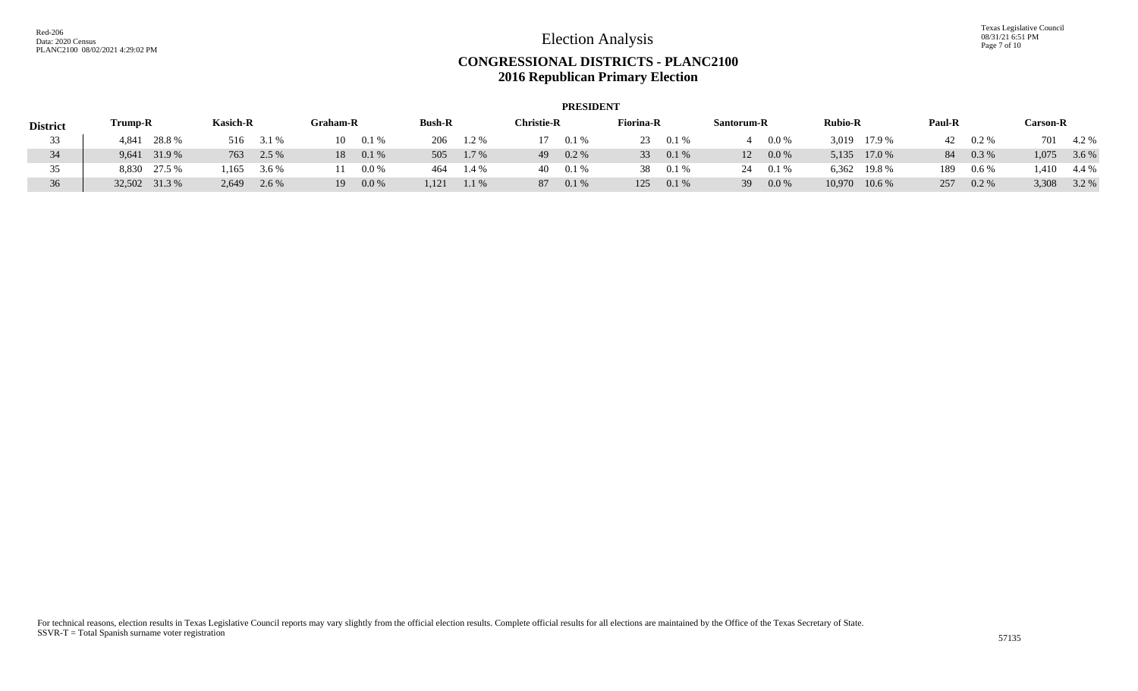Texas Legislative Council 08/31/21 6:51 PM Page 7 of 10

## **CONGRESSIONAL DISTRICTS - PLANC2100 2016 Republican Primary Election**

|                 | <b>PRESIDENT</b> |                 |                 |                |                    |                  |               |                 |                  |                 |  |  |  |
|-----------------|------------------|-----------------|-----------------|----------------|--------------------|------------------|---------------|-----------------|------------------|-----------------|--|--|--|
| <b>District</b> | <b>Trump-R</b>   | <b>Kasich-R</b> | <b>Graham-R</b> | <b>Bush-R</b>  | $^\circ$ hristie-R | <b>Fiorina-R</b> | Santorum-R    | <b>Rubio-R</b>  | <b>Paul-R</b>    | <b>Carson-R</b> |  |  |  |
| 33              | 28.8%<br>4.841   | 516<br>3.1 %    | 10<br>0.1%      | 206<br>1.2%    | 0.1%               | 23<br>0.1%       | $0.0\%$       | 3,019<br>17.9 % | 42<br>$0.2 \%$   | 701<br>4.2 %    |  |  |  |
|                 | 9,641 31.9 %     | 763<br>2.5 %    | 18<br>0.1%      | 505<br>1.7 %   | $0.2\%$<br>49      | 33<br>0.1%       | 12<br>$0.0\%$ | 5,135 17.0 %    | 84<br>$0.3\%$    | 3.6 %<br>1,075  |  |  |  |
|                 | 8,830 27.5 %     | .165<br>3.6 %   | 0.0 %           | 1.4 %<br>464   | 0.1%<br>40.        | 38<br>0.1%       | 0.1%<br>24    | 6,362 19.8 %    | 189<br>$0.6\,\%$ | .410<br>4.4 %   |  |  |  |
| 36              | 32,502 31.3 %    | 2,649<br>2.6 %  | 19<br>0.0 %     | 1,121<br>1.1 % | 87<br>0.1%         | 125<br>0.1%      | 39<br>$0.0\%$ | 10,970 10.6 %   | 257<br>$0.2\%$   | 3,308<br>3.2 %  |  |  |  |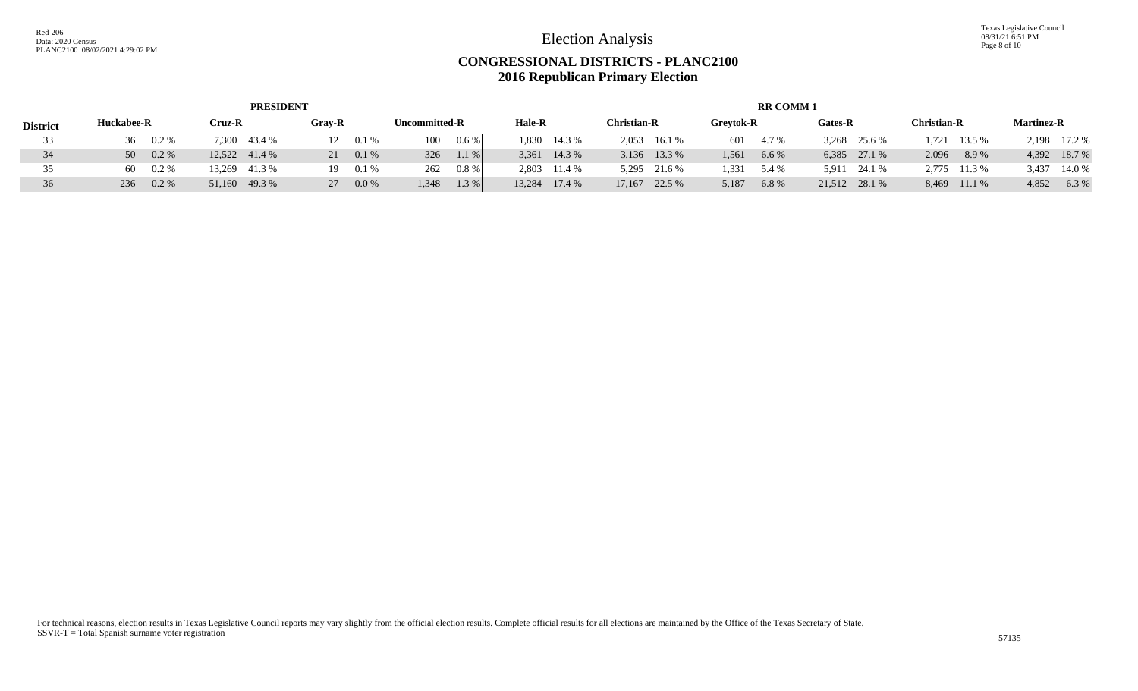## **CONGRESSIONAL DISTRICTS - PLANC2100 2016 Republican Primary Election**

|                 | <b>PRESIDENT</b> |         |               |               |        |          |               |         |               | <b>RR COMM1</b> |                    |                |                  |       |         |               |                    |              |                   |              |
|-----------------|------------------|---------|---------------|---------------|--------|----------|---------------|---------|---------------|-----------------|--------------------|----------------|------------------|-------|---------|---------------|--------------------|--------------|-------------------|--------------|
| <b>District</b> | Huckabee-R       |         | Cruz-R        |               | Grav-R |          | Uncommitted-R |         | <b>Hale-R</b> |                 | <b>Christian-R</b> |                | <b>Grevtok-R</b> |       | Gates-R |               | <b>Christian-R</b> |              | <b>Martinez-R</b> |              |
| 33              | 36 0.2 %         |         |               | 7,300 43.4 %  | 12     | $0.1 \%$ | 100           | $0.6\%$ |               | 1,830 14.3 %    |                    | $2,053$ 16.1 % | 601              | 4.7 % |         | 3,268 25.6 %  |                    | 1,721 13.5 % |                   | 2,198 17.2 % |
| 34              | 50 0.2 %         |         |               | 12,522 41.4 % | 21     | 0.1%     | 326           | 1.1%    |               | 3,361 14.3 %    |                    | 3,136 13.3 %   | 1,561            | 6.6%  |         | 6,385 27.1 %  | 2,096              | 8.9%         |                   | 4,392 18.7 % |
| 35              | 60               | $0.2\%$ |               | 13,269 41.3 % | 19-    | 0.1%     | 262           | $0.8\%$ |               | 2,803 11.4 %    |                    | 5,295 21.6 %   | 1.331            | 5.4 % | 5,911   | 24.1 %        |                    | 2,775 11.3 % | 3,437             | 14.0 %       |
| 36              | 236              | $0.2\%$ | 51,160 49.3 % |               | $27 -$ | 0.0 %    | 1,348         | 1.3 %   |               | 13,284 17.4 %   |                    | 17,167 22.5 %  | 5,187            | 6.8%  |         | 21,512 28.1 % |                    | 8,469 11.1 % | 4,852             | 6.3%         |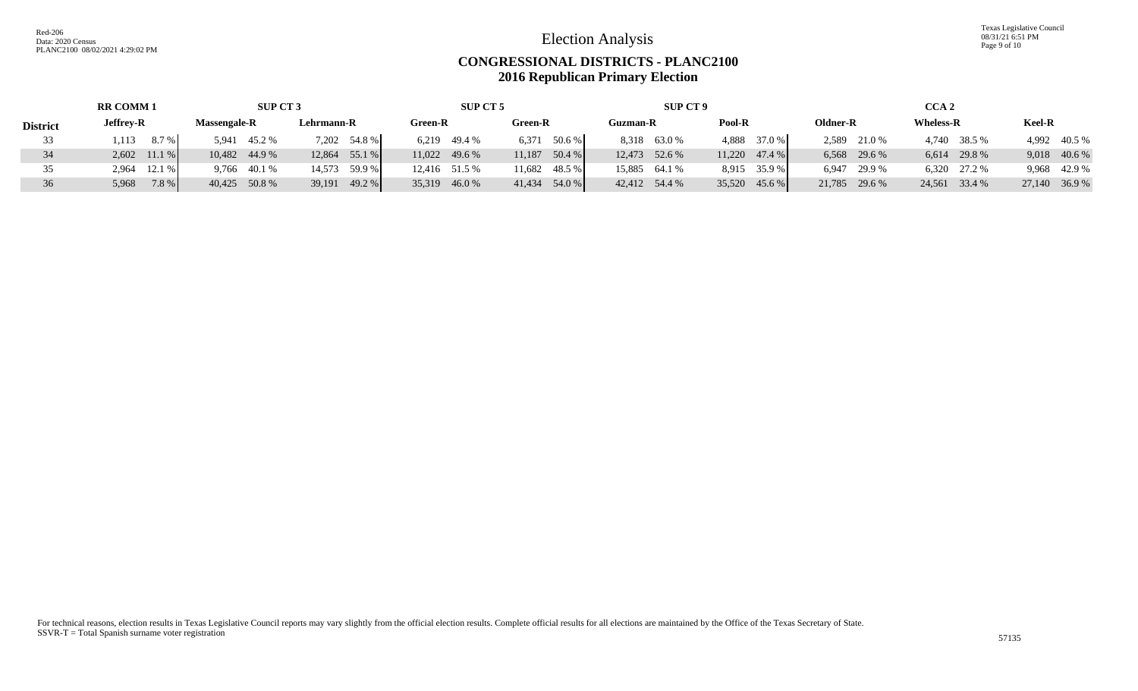Texas Legislative Council 08/31/21 6:51 PM Page 9 of 10

#### **CONGRESSIONAL DISTRICTS - PLANC2100 2016 Republican Primary Election**

| <b>RR COMM1</b> |                  | <b>SUP CT 3</b>     |                 | SUP CT 5        |                  | SUP CT 9        |                 | CCA <sub>2</sub> |                  |               |  |  |
|-----------------|------------------|---------------------|-----------------|-----------------|------------------|-----------------|-----------------|------------------|------------------|---------------|--|--|
| <b>District</b> | <b>Jeffrey-R</b> | <b>Massengale-R</b> | Lehrmann-R      | Green-R         | Green-R          | <b>Guzman-R</b> | Pool-R          | Oldner-R         | <b>Wheless-R</b> | <b>Keel-R</b> |  |  |
|                 | 8.7%<br>1,113    | 45.2 %<br>5.941     | 7,202 54.8 %    | 6,219 49.4 %    | 50.6 %<br>6.371  | 8,318 63.0 %    | 37.0 %<br>4,888 | 2,589<br>21.0 %  | 4.740<br>38.5 %  | 4,992 40.5 %  |  |  |
|                 | $2,602$ 11.1 %   | 10,482 44.9 %       | $12,864$ 55.1 % | 11,022 49.6 %   | 11,187<br>50.4%  | 12,473 52.6 %   | $11,220$ 47.4 % | 6,568 29.6 %     | 6,614<br>29.8 %  | 9,018 40.6 %  |  |  |
|                 | 12.1%<br>2,964   | 9,766 40.1 %        | 14,573 59.9 %   | 12,416 51.5 %   | 48.5 %<br>11,682 | 15,885 64.1 %   | 8,915 35.9 %    | 6,947 29.9 %     | 6,320 27.2 %     | 9,968 42.9 %  |  |  |
| 36              | 7.8%<br>5,968    | 40,425 50.8 %       | $39,191$ 49.2 % | 35,319<br>46.0% | 41,434 54.0 %    | 42,412 54.4 %   | 35,520 45.6 %   | 21,785 29.6 %    | 24,561 33.4 %    | 27,140 36.9 % |  |  |